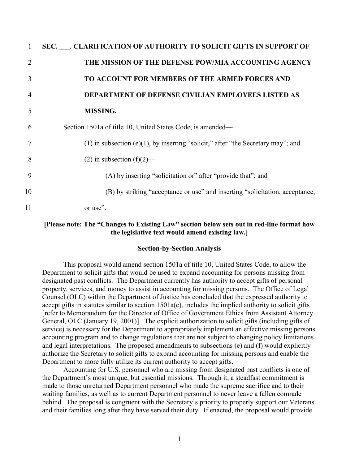| 1              | SEC. CLARIFICATION OF AUTHORITY TO SOLICIT GIFTS IN SUPPORT OF                         |
|----------------|----------------------------------------------------------------------------------------|
| 2              | THE MISSION OF THE DEFENSE POW/MIA ACCOUNTING AGENCY                                   |
| 3              | <b>TO ACCOUNT FOR MEMBERS OF THE ARMED FORCES AND</b>                                  |
| $\overline{4}$ | <b>DEPARTMENT OF DEFENSE CIVILIAN EMPLOYEES LISTED AS</b>                              |
| 5              | <b>MISSING.</b>                                                                        |
| 6              | Section 1501a of title 10, United States Code, is amended—                             |
| 7              | $(1)$ in subsection (e) $(1)$ , by inserting "solicit," after "the Secretary may"; and |
| 8              | $(2)$ in subsection $(f)(2)$ —                                                         |
| 9              | (A) by inserting "solicitation or" after "provide that"; and                           |
| 10             | (B) by striking "acceptance or use" and inserting "solicitation, acceptance,           |
| 11             | or use".                                                                               |

# **[Please note: The "Changes to Existing Law" section below sets out in red-line format how the legislative text would amend existing law.]**

#### **Section-by-Section Analysis**

This proposal would amend section 1501a of title 10, United States Code, to allow the Department to solicit gifts that would be used to expand accounting for persons missing from designated past conflicts. The Department currently has authority to accept gifts of personal property, services, and money to assist in accounting for missing persons. The Office of Legal Counsel (OLC) within the Department of Justice has concluded that the expressed authority to accept gifts in statutes similar to section 1501a(e), includes the implied authority to solicit gifts [refer to Memorandum for the Director of Office of Government Ethics from Assistant Attorney General, OLC (January 19, 2001)]. The explicit authorization to solicit gifts (including gifts of service) is necessary for the Department to appropriately implement an effective missing persons accounting program and to change regulations that are not subject to changing policy limitations and legal interpretations. The proposed amendments to subsections (e) and (f) would explicitly authorize the Secretary to solicit gifts to expand accounting for missing persons and enable the Department to more fully utilize its current authority to accept gifts.

Accounting for U.S. personnel who are missing from designated past conflicts is one of the Department's most unique, but essential missions. Through it, a steadfast commitment is made to those unreturned Department personnel who made the supreme sacrifice and to their waiting families, as well as to current Department personnel to never leave a fallen comrade behind. The proposal is congruent with the Secretary's priority to properly support our Veterans and their families long after they have served their duty. If enacted, the proposal would provide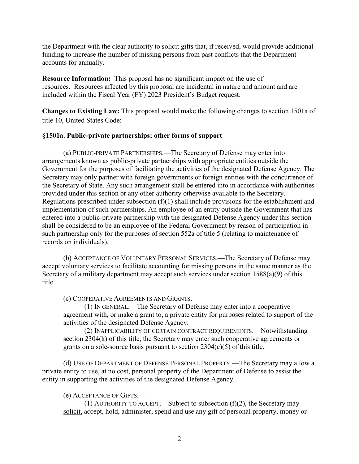the Department with the clear authority to solicit gifts that, if received, would provide additional funding to increase the number of missing persons from past conflicts that the Department accounts for annually.

**Resource Information:** This proposal has no significant impact on the use of resources. Resources affected by this proposal are incidental in nature and amount and are included within the Fiscal Year (FY) 2023 President's Budget request.

**Changes to Existing Law:** This proposal would make the following changes to section 1501a of title 10, United States Code:

# **§1501a. Public-private partnerships; other forms of support**

(a) PUBLIC-PRIVATE PARTNERSHIPS.—The Secretary of Defense may enter into arrangements known as public-private partnerships with appropriate entities outside the Government for the purposes of facilitating the activities of the designated Defense Agency. The Secretary may only partner with foreign governments or foreign entities with the concurrence of the Secretary of State. Any such arrangement shall be entered into in accordance with authorities provided under this section or any other authority otherwise available to the Secretary. Regulations prescribed under subsection  $(f)(1)$  shall include provisions for the establishment and implementation of such partnerships. An employee of an entity outside the Government that has entered into a public-private partnership with the designated Defense Agency under this section shall be considered to be an employee of the Federal Government by reason of participation in such partnership only for the purposes of section 552a of title 5 (relating to maintenance of records on individuals).

(b) ACCEPTANCE OF VOLUNTARY PERSONAL SERVICES.—The Secretary of Defense may accept voluntary services to facilitate accounting for missing persons in the same manner as the Secretary of a military department may accept such services under section 1588(a)(9) of this title.

(c) COOPERATIVE AGREEMENTS AND GRANTS.—

(1) IN GENERAL.—The Secretary of Defense may enter into a cooperative agreement with, or make a grant to, a private entity for purposes related to support of the activities of the designated Defense Agency.

(2) INAPPLICABILITY OF CERTAIN CONTRACT REQUIREMENTS.—Notwithstanding section 2304(k) of this title, the Secretary may enter such cooperative agreements or grants on a sole-source basis pursuant to section  $2304(c)(5)$  of this title.

(d) USE OF DEPARTMENT OF DEFENSE PERSONAL PROPERTY.—The Secretary may allow a private entity to use, at no cost, personal property of the Department of Defense to assist the entity in supporting the activities of the designated Defense Agency.

# (e) ACCEPTANCE OF GIFTS.—

(1) AUTHORITY TO ACCEPT.—Subject to subsection  $(f)(2)$ , the Secretary may solicit, accept, hold, administer, spend and use any gift of personal property, money or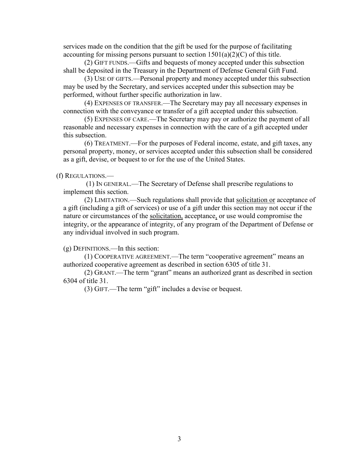services made on the condition that the gift be used for the purpose of facilitating accounting for missing persons pursuant to section  $1501(a)(2)(C)$  of this title.

(2) GIFT FUNDS.—Gifts and bequests of money accepted under this subsection shall be deposited in the Treasury in the Department of Defense General Gift Fund.

(3) USE OF GIFTS.—Personal property and money accepted under this subsection may be used by the Secretary, and services accepted under this subsection may be performed, without further specific authorization in law.

(4) EXPENSES OF TRANSFER.—The Secretary may pay all necessary expenses in connection with the conveyance or transfer of a gift accepted under this subsection.

(5) EXPENSES OF CARE.—The Secretary may pay or authorize the payment of all reasonable and necessary expenses in connection with the care of a gift accepted under this subsection.

(6) TREATMENT.—For the purposes of Federal income, estate, and gift taxes, any personal property, money, or services accepted under this subsection shall be considered as a gift, devise, or bequest to or for the use of the United States.

### (f) REGULATIONS.—

(1) IN GENERAL.—The Secretary of Defense shall prescribe regulations to implement this section.

(2) LIMITATION.—Such regulations shall provide that solicitation or acceptance of a gift (including a gift of services) or use of a gift under this section may not occur if the nature or circumstances of the solicitation, acceptance, or use would compromise the integrity, or the appearance of integrity, of any program of the Department of Defense or any individual involved in such program.

(g) DEFINITIONS.—In this section:

(1) COOPERATIVE AGREEMENT.—The term "cooperative agreement" means an authorized cooperative agreement as described in section 6305 of title 31.

(2) GRANT.—The term "grant" means an authorized grant as described in section 6304 of title 31.

(3) GIFT.—The term "gift" includes a devise or bequest.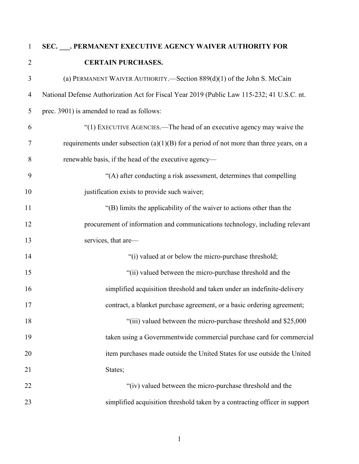# **SEC. \_\_\_. PERMANENT EXECUTIVE AGENCY WAIVER AUTHORITY FOR CERTAIN PURCHASES.**  (a) PERMANENT WAIVER AUTHORITY.—Section 889(d)(1) of the John S. McCain National Defense Authorization Act for Fiscal Year 2019 (Public Law 115-232; 41 U.S.C. nt. prec. 3901) is amended to read as follows: "(1) EXECUTIVE AGENCIES.—The head of an executive agency may waive the 7 requirements under subsection  $(a)(1)(B)$  for a period of not more than three years, on a renewable basis, if the head of the executive agency— "(A) after conducting a risk assessment, determines that compelling 10 justification exists to provide such waiver; "(B) limits the applicability of the waiver to actions other than the procurement of information and communications technology, including relevant 13 services, that are— 14 "(i) valued at or below the micro-purchase threshold; "(ii) valued between the micro-purchase threshold and the simplified acquisition threshold and taken under an indefinite-delivery contract, a blanket purchase agreement, or a basic ordering agreement; 18 "(iii) valued between the micro-purchase threshold and \$25,000" taken using a Governmentwide commercial purchase card for commercial item purchases made outside the United States for use outside the United 21 States; 22 "(iv) valued between the micro-purchase threshold and the simplified acquisition threshold taken by a contracting officer in support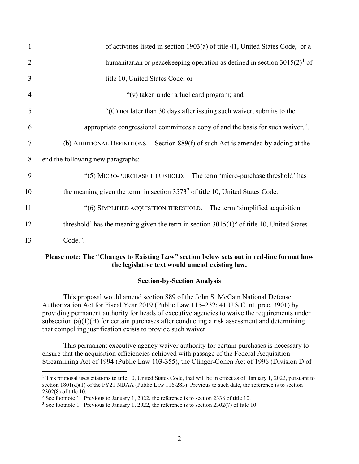| $\mathbf{1}$   | of activities listed in section 1903(a) of title 41, United States Code, or a               |
|----------------|---------------------------------------------------------------------------------------------|
| 2              | humanitarian or peacekeeping operation as defined in section $3015(2)^1$ of                 |
| 3              | title 10, United States Code; or                                                            |
| $\overline{4}$ | "(v) taken under a fuel card program; and                                                   |
| 5              | " $(C)$ not later than 30 days after issuing such waiver, submits to the                    |
| 6              | appropriate congressional committees a copy of and the basis for such waiver.".             |
| 7              | (b) ADDITIONAL DEFINITIONS.—Section $889(f)$ of such Act is amended by adding at the        |
| 8              | end the following new paragraphs:                                                           |
| 9              | "(5) MICRO-PURCHASE THRESHOLD.—The term 'micro-purchase threshold' has                      |
| 10             | the meaning given the term in section $3573^2$ of title 10, United States Code.             |
| 11             | "(6) SIMPLIFIED ACQUISITION THRESHOLD.—The term 'simplified acquisition                     |
| 12             | threshold' has the meaning given the term in section $3015(1)^3$ of title 10, United States |
| 13             | Code.".                                                                                     |

# **Please note: The "Changes to Existing Law" section below sets out in red-line format how the legislative text would amend existing law.**

# **Section-by-Section Analysis**

This proposal would amend section 889 of the John S. McCain National Defense Authorization Act for Fiscal Year 2019 (Public Law 115–232; 41 U.S.C. nt. prec. 3901) by providing permanent authority for heads of executive agencies to waive the requirements under subsection (a)(1)(B) for certain purchases after conducting a risk assessment and determining that compelling justification exists to provide such waiver.

This permanent executive agency waiver authority for certain purchases is necessary to ensure that the acquisition efficiencies achieved with passage of the Federal Acquisition Streamlining Act of 1994 (Public Law 103-355), the Clinger-Cohen Act of 1996 (Division D of

<span id="page-4-0"></span><sup>&</sup>lt;sup>1</sup> This proposal uses citations to title 10, United States Code, that will be in effect as of January 1, 2022, pursuant to section 1801(d)(1) of the FY21 NDAA (Public Law 116-283). Previous to such date, the reference is to section 2302(8) of title 10.

<span id="page-4-1"></span><sup>&</sup>lt;sup>2</sup> See footnote 1. Previous to January 1, 2022, the reference is to section 2338 of title 10.

<span id="page-4-2"></span><sup>&</sup>lt;sup>3</sup> See footnote 1. Previous to January 1, 2022, the reference is to section 2302(7) of title 10.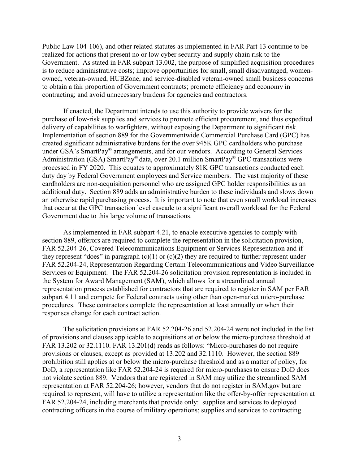Public Law 104-106), and other related statutes as implemented in FAR Part 13 continue to be realized for actions that present no or low cyber security and supply chain risk to the Government. As stated in FAR subpart 13.002, the purpose of simplified acquisition procedures is to reduce administrative costs; improve opportunities for small, small disadvantaged, womenowned, veteran-owned, HUBZone, and service-disabled veteran-owned small business concerns to obtain a fair proportion of Government contracts; promote efficiency and economy in contracting; and avoid unnecessary burdens for agencies and contractors.

If enacted, the Department intends to use this authority to provide waivers for the purchase of low-risk supplies and services to promote efficient procurement, and thus expedited delivery of capabilities to warfighters, without exposing the Department to significant risk. Implementation of section 889 for the Governmentwide Commercial Purchase Card (GPC) has created significant administrative burdens for the over 945K GPC cardholders who purchase under GSA's SmartPay<sup>®</sup> arrangements, and for our vendors. According to General Services Administration (GSA) SmartPay® data, over 20.1 million SmartPay® GPC transactions were processed in FY 2020. This equates to approximately 81K GPC transactions conducted each duty day by Federal Government employees and Service members. The vast majority of these cardholders are non-acquisition personnel who are assigned GPC holder responsibilities as an additional duty. Section 889 adds an administrative burden to these individuals and slows down an otherwise rapid purchasing process. It is important to note that even small workload increases that occur at the GPC transaction level cascade to a significant overall workload for the Federal Government due to this large volume of transactions.

As implemented in FAR subpart 4.21, to enable executive agencies to comply with section 889, offerors are required to complete the representation in the solicitation provision, FAR 52.204-26, Covered Telecommunications Equipment or Services-Representation and if they represent "does" in paragraph  $(c)(1)$  or  $(c)(2)$  they are required to further represent under FAR 52.204-24, Representation Regarding Certain Telecommunications and Video Surveillance Services or Equipment. The FAR 52.204-26 solicitation provision representation is included in the System for Award Management (SAM), which allows for a streamlined annual representation process established for contractors that are required to register in SAM per FAR subpart 4.11 and compete for Federal contracts using other than open-market micro-purchase procedures. These contractors complete the representation at least annually or when their responses change for each contract action.

The solicitation provisions at FAR 52.204-26 and 52.204-24 were not included in the list of provisions and clauses applicable to acquisitions at or below the micro-purchase threshold at FAR 13.202 or 32.1110. FAR 13.201(d) reads as follows: "Micro-purchases do not require provisions or clauses, except as provided at 13.202 and 32.1110. However, the section 889 prohibition still applies at or below the micro-purchase threshold and as a matter of policy, for DoD, a representation like FAR 52.204-24 is required for micro-purchases to ensure DoD does not violate section 889. Vendors that are registered in SAM may utilize the streamlined SAM representation at FAR 52.204-26; however, vendors that do not register in SAM.gov but are required to represent, will have to utilize a representation like the offer-by-offer representation at FAR 52.204-24, including merchants that provide only: supplies and services to deployed contracting officers in the course of military operations; supplies and services to contracting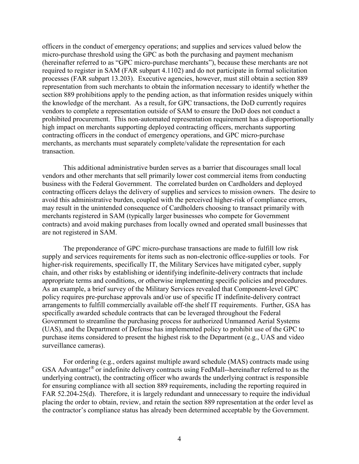officers in the conduct of emergency operations; and supplies and services valued below the micro-purchase threshold using the GPC as both the purchasing and payment mechanism (hereinafter referred to as "GPC micro-purchase merchants"), because these merchants are not required to register in SAM (FAR subpart 4.1102) and do not participate in formal solicitation processes (FAR subpart 13.203). Executive agencies, however, must still obtain a section 889 representation from such merchants to obtain the information necessary to identify whether the section 889 prohibitions apply to the pending action, as that information resides uniquely within the knowledge of the merchant. As a result, for GPC transactions, the DoD currently requires vendors to complete a representation outside of SAM to ensure the DoD does not conduct a prohibited procurement. This non-automated representation requirement has a disproportionally high impact on merchants supporting deployed contracting officers, merchants supporting contracting officers in the conduct of emergency operations, and GPC micro-purchase merchants, as merchants must separately complete/validate the representation for each transaction.

This additional administrative burden serves as a barrier that discourages small local vendors and other merchants that sell primarily lower cost commercial items from conducting business with the Federal Government. The correlated burden on Cardholders and deployed contracting officers delays the delivery of supplies and services to mission owners. The desire to avoid this administrative burden, coupled with the perceived higher-risk of compliance errors, may result in the unintended consequence of Cardholders choosing to transact primarily with merchants registered in SAM (typically larger businesses who compete for Government contracts) and avoid making purchases from locally owned and operated small businesses that are not registered in SAM.

The preponderance of GPC micro-purchase transactions are made to fulfill low risk supply and services requirements for items such as non-electronic office-supplies or tools. For higher-risk requirements, specifically IT, the Military Services have mitigated cyber, supply chain, and other risks by establishing or identifying indefinite-delivery contracts that include appropriate terms and conditions, or otherwise implementing specific policies and procedures. As an example, a brief survey of the Military Services revealed that Component-level GPC policy requires pre-purchase approvals and/or use of specific IT indefinite-delivery contract arrangements to fulfill commercially available off-the shelf IT requirements. Further, GSA has specifically awarded schedule contracts that can be leveraged throughout the Federal Government to streamline the purchasing process for authorized Unmanned Aerial Systems (UAS), and the Department of Defense has implemented policy to prohibit use of the GPC to purchase items considered to present the highest risk to the Department (e.g., UAS and video surveillance cameras).

For ordering (e.g., orders against multiple award schedule (MAS) contracts made using GSA Advantage!® or indefinite delivery contracts using FedMall--hereinafter referred to as the underlying contract), the contracting officer who awards the underlying contract is responsible for ensuring compliance with all section 889 requirements, including the reporting required in FAR 52.204-25(d). Therefore, it is largely redundant and unnecessary to require the individual placing the order to obtain, review, and retain the section 889 representation at the order level as the contractor's compliance status has already been determined acceptable by the Government.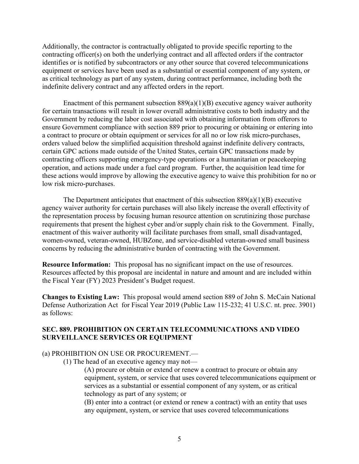Additionally, the contractor is contractually obligated to provide specific reporting to the contracting officer(s) on both the underlying contract and all affected orders if the contractor identifies or is notified by subcontractors or any other source that covered telecommunications equipment or services have been used as a substantial or essential component of any system, or as critical technology as part of any system, during contract performance, including both the indefinite delivery contract and any affected orders in the report.

Enactment of this permanent subsection  $889(a)(1)(B)$  executive agency waiver authority for certain transactions will result in lower overall administrative costs to both industry and the Government by reducing the labor cost associated with obtaining information from offerors to ensure Government compliance with section 889 prior to procuring or obtaining or entering into a contract to procure or obtain equipment or services for all no or low risk micro-purchases, orders valued below the simplified acquisition threshold against indefinite delivery contracts, certain GPC actions made outside of the United States, certain GPC transactions made by contracting officers supporting emergency-type operations or a humanitarian or peacekeeping operation, and actions made under a fuel card program. Further, the acquisition lead time for these actions would improve by allowing the executive agency to waive this prohibition for no or low risk micro-purchases.

The Department anticipates that enactment of this subsection  $889(a)(1)(B)$  executive agency waiver authority for certain purchases will also likely increase the overall effectivity of the representation process by focusing human resource attention on scrutinizing those purchase requirements that present the highest cyber and/or supply chain risk to the Government. Finally, enactment of this waiver authority will facilitate purchases from small, small disadvantaged, women-owned, veteran-owned, HUBZone, and service-disabled veteran-owned small business concerns by reducing the administrative burden of contracting with the Government.

**Resource Information:** This proposal has no significant impact on the use of resources. Resources affected by this proposal are incidental in nature and amount and are included within the Fiscal Year (FY) 2023 President's Budget request.

**Changes to Existing Law:** This proposal would amend section 889 of John S. McCain National Defense Authorization Act for Fiscal Year 2019 (Public Law 115-232; 41 U.S.C. nt. prec. 3901) as follows:

# **SEC. 889. PROHIBITION ON CERTAIN TELECOMMUNICATIONS AND VIDEO SURVEILLANCE SERVICES OR EQUIPMENT**

# (a) PROHIBITION ON USE OR PROCUREMENT.—

(1) The head of an executive agency may not—

(A) procure or obtain or extend or renew a contract to procure or obtain any equipment, system, or service that uses covered telecommunications equipment or services as a substantial or essential component of any system, or as critical technology as part of any system; or

(B) enter into a contract (or extend or renew a contract) with an entity that uses any equipment, system, or service that uses covered telecommunications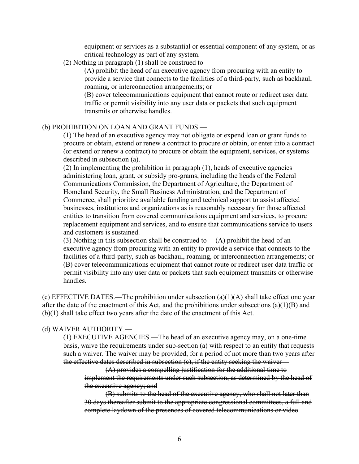equipment or services as a substantial or essential component of any system, or as critical technology as part of any system.

(2) Nothing in paragraph (1) shall be construed to—

(A) prohibit the head of an executive agency from procuring with an entity to provide a service that connects to the facilities of a third-party, such as backhaul, roaming, or interconnection arrangements; or

(B) cover telecommunications equipment that cannot route or redirect user data traffic or permit visibility into any user data or packets that such equipment transmits or otherwise handles.

#### (b) PROHIBITION ON LOAN AND GRANT FUNDS.—

(1) The head of an executive agency may not obligate or expend loan or grant funds to procure or obtain, extend or renew a contract to procure or obtain, or enter into a contract (or extend or renew a contract) to procure or obtain the equipment, services, or systems described in subsection (a).

(2) In implementing the prohibition in paragraph (1), heads of executive agencies administering loan, grant, or subsidy pro-grams, including the heads of the Federal Communications Commission, the Department of Agriculture, the Department of Homeland Security, the Small Business Administration, and the Department of Commerce, shall prioritize available funding and technical support to assist affected businesses, institutions and organizations as is reasonably necessary for those affected entities to transition from covered communications equipment and services, to procure replacement equipment and services, and to ensure that communications service to users and customers is sustained.

(3) Nothing in this subsection shall be construed to— $(A)$  prohibit the head of an executive agency from procuring with an entity to provide a service that connects to the facilities of a third-party, such as backhaul, roaming, or interconnection arrangements; or (B) cover telecommunications equipment that cannot route or redirect user data traffic or permit visibility into any user data or packets that such equipment transmits or otherwise handles.

(c) EFFECTIVE DATES.—The prohibition under subsection  $(a)(1)(A)$  shall take effect one year after the date of the enactment of this Act, and the prohibitions under subsections  $(a)(1)(B)$  and (b)(1) shall take effect two years after the date of the enactment of this Act.

# (d) WAIVER AUTHORITY.—

(1) EXECUTIVE AGENCIES.—The head of an executive agency may, on a one-time basis, waive the requirements under sub-section (a) with respect to an entity that requests such a waiver. The waiver may be provided, for a period of not more than two years after the effective dates described in subsection  $(c)$ , if the entity seeking the waiver—

(A) provides a compelling justification for the additional time to implement the requirements under such subsection, as determined by the head of the executive agency; and

(B) submits to the head of the executive agency, who shall not later than 30 days thereafter submit to the appropriate congressional committees, a full and complete laydown of the presences of covered telecommunications or video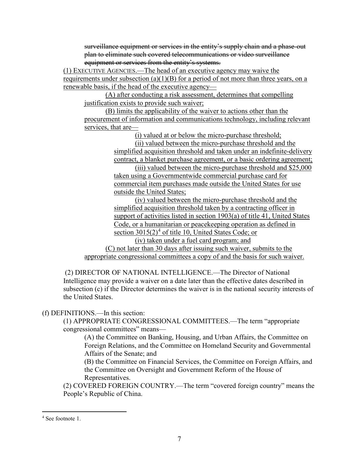surveillance equipment or services in the entity's supply chain and a phase-out plan to eliminate such covered telecommunications or video surveillance equipment or services from the entity's systems.

(1) EXECUTIVE AGENCIES.—The head of an executive agency may waive the requirements under subsection  $(a)(1)(B)$  for a period of not more than three years, on a renewable basis, if the head of the executive agency—

(A) after conducting a risk assessment, determines that compelling justification exists to provide such waiver;

(B) limits the applicability of the waiver to actions other than the procurement of information and communications technology, including relevant services, that are—

(i) valued at or below the micro-purchase threshold;

(ii) valued between the micro-purchase threshold and the simplified acquisition threshold and taken under an indefinite-delivery contract, a blanket purchase agreement, or a basic ordering agreement;

(iii) valued between the micro-purchase threshold and \$25,000 taken using a Governmentwide commercial purchase card for commercial item purchases made outside the United States for use outside the United States;

(iv) valued between the micro-purchase threshold and the simplified acquisition threshold taken by a contracting officer in support of activities listed in section 1903(a) of title 41, United States Code, or a humanitarian or peacekeeping operation as defined in section  $3015(2)^4$  $3015(2)^4$  of title 10, United States Code; or

(iv) taken under a fuel card program; and

(C) not later than 30 days after issuing such waiver, submits to the appropriate congressional committees a copy of and the basis for such waiver.

(2) DIRECTOR OF NATIONAL INTELLIGENCE.—The Director of National Intelligence may provide a waiver on a date later than the effective dates described in subsection (c) if the Director determines the waiver is in the national security interests of the United States.

# (f) DEFINITIONS.—In this section:

(1) APPROPRIATE CONGRESSIONAL COMMITTEES.—The term "appropriate congressional committees" means—

(A) the Committee on Banking, Housing, and Urban Affairs, the Committee on Foreign Relations, and the Committee on Homeland Security and Governmental Affairs of the Senate; and

(B) the Committee on Financial Services, the Committee on Foreign Affairs, and the Committee on Oversight and Government Reform of the House of Representatives.

(2) COVERED FOREIGN COUNTRY.—The term "covered foreign country" means the People's Republic of China.

<span id="page-9-0"></span> <sup>4</sup> See footnote 1.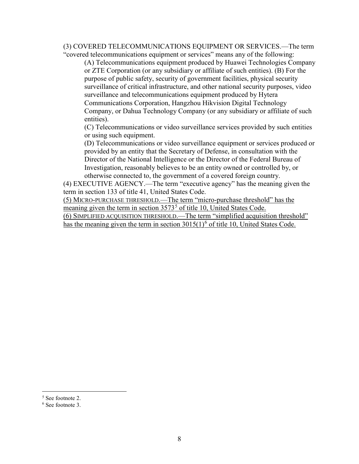(3) COVERED TELECOMMUNICATIONS EQUIPMENT OR SERVICES.—The term "covered telecommunications equipment or services" means any of the following:

(A) Telecommunications equipment produced by Huawei Technologies Company or ZTE Corporation (or any subsidiary or affiliate of such entities). (B) For the purpose of public safety, security of government facilities, physical security surveillance of critical infrastructure, and other national security purposes, video surveillance and telecommunications equipment produced by Hytera Communications Corporation, Hangzhou Hikvision Digital Technology Company, or Dahua Technology Company (or any subsidiary or affiliate of such entities).

(C) Telecommunications or video surveillance services provided by such entities or using such equipment.

(D) Telecommunications or video surveillance equipment or services produced or provided by an entity that the Secretary of Defense, in consultation with the Director of the National Intelligence or the Director of the Federal Bureau of Investigation, reasonably believes to be an entity owned or controlled by, or otherwise connected to, the government of a covered foreign country.

(4) EXECUTIVE AGENCY.—The term "executive agency" has the meaning given the term in section 133 of title 41, United States Code.

(5) MICRO-PURCHASE THRESHOLD.—The term "micro-purchase threshold" has the meaning given the term in section  $3573<sup>5</sup>$  $3573<sup>5</sup>$  $3573<sup>5</sup>$  of title 10, United States Code.

(6) SIMPLIFIED ACQUISITION THRESHOLD.—The term "simplified acquisition threshold" has the meaning given the term in section  $3015(1)^6$  $3015(1)^6$  of title 10, United States Code.

<span id="page-10-0"></span> <sup>5</sup> See footnote 2.

<span id="page-10-1"></span><sup>6</sup> See footnote 3.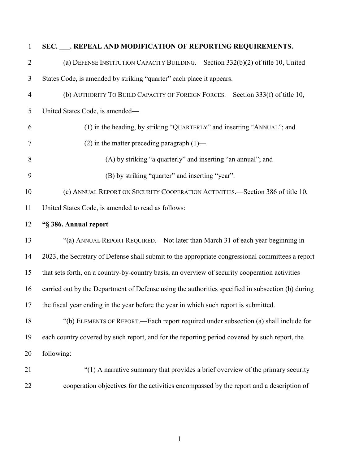| $\mathbf{1}$   | SEC. ___. REPEAL AND MODIFICATION OF REPORTING REQUIREMENTS.                                      |
|----------------|---------------------------------------------------------------------------------------------------|
| $\overline{2}$ | (a) DEFENSE INSTITUTION CAPACITY BUILDING.—Section 332(b)(2) of title 10, United                  |
| 3              | States Code, is amended by striking "quarter" each place it appears.                              |
| $\overline{4}$ | (b) AUTHORITY TO BUILD CAPACITY OF FOREIGN FORCES.—Section 333(f) of title 10,                    |
| 5              | United States Code, is amended-                                                                   |
| 6              | (1) in the heading, by striking "QUARTERLY" and inserting "ANNUAL"; and                           |
| 7              | $(2)$ in the matter preceding paragraph $(1)$ —                                                   |
| 8              | (A) by striking "a quarterly" and inserting "an annual"; and                                      |
| 9              | (B) by striking "quarter" and inserting "year".                                                   |
| 10             | (c) ANNUAL REPORT ON SECURITY COOPERATION ACTIVITIES.-Section 386 of title 10,                    |
| 11             | United States Code, is amended to read as follows:                                                |
| 12             | "§ 386. Annual report                                                                             |
| 13             | "(a) ANNUAL REPORT REQUIRED.—Not later than March 31 of each year beginning in                    |
| 14             | 2023, the Secretary of Defense shall submit to the appropriate congressional committees a report  |
| 15             | that sets forth, on a country-by-country basis, an overview of security cooperation activities    |
| 16             | carried out by the Department of Defense using the authorities specified in subsection (b) during |
|                | 17 the fiscal year ending in the year before the year in which such report is submitted.          |
| 18             | "(b) ELEMENTS OF REPORT.—Each report required under subsection (a) shall include for              |
| 19             | each country covered by such report, and for the reporting period covered by such report, the     |
| 20             | following:                                                                                        |
| 21             | "(1) A narrative summary that provides a brief overview of the primary security                   |
| 22             | cooperation objectives for the activities encompassed by the report and a description of          |
|                |                                                                                                   |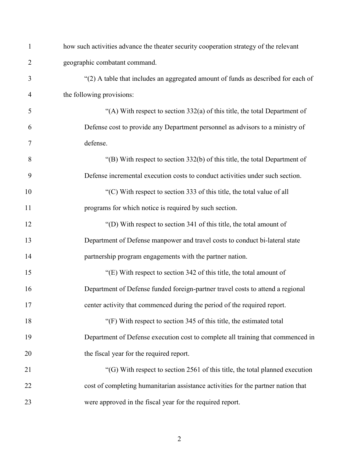| $\mathbf{1}$ | how such activities advance the theater security cooperation strategy of the relevant |
|--------------|---------------------------------------------------------------------------------------|
| 2            | geographic combatant command.                                                         |
| 3            | "(2) A table that includes an aggregated amount of funds as described for each of     |
| 4            | the following provisions:                                                             |
| 5            | "(A) With respect to section $332(a)$ of this title, the total Department of          |
| 6            | Defense cost to provide any Department personnel as advisors to a ministry of         |
| 7            | defense.                                                                              |
| 8            | "(B) With respect to section $332(b)$ of this title, the total Department of          |
| 9            | Defense incremental execution costs to conduct activities under such section.         |
| 10           | "(C) With respect to section 333 of this title, the total value of all                |
| 11           | programs for which notice is required by such section.                                |
| 12           | "(D) With respect to section 341 of this title, the total amount of                   |
| 13           | Department of Defense manpower and travel costs to conduct bi-lateral state           |
| 14           | partnership program engagements with the partner nation.                              |
| 15           | "(E) With respect to section 342 of this title, the total amount of                   |
| 16           | Department of Defense funded foreign-partner travel costs to attend a regional        |
| 17           | center activity that commenced during the period of the required report.              |
| 18           | "(F) With respect to section 345 of this title, the estimated total                   |
| 19           | Department of Defense execution cost to complete all training that commenced in       |
| 20           | the fiscal year for the required report.                                              |
| 21           | "(G) With respect to section 2561 of this title, the total planned execution          |
| 22           | cost of completing humanitarian assistance activities for the partner nation that     |
| 23           | were approved in the fiscal year for the required report.                             |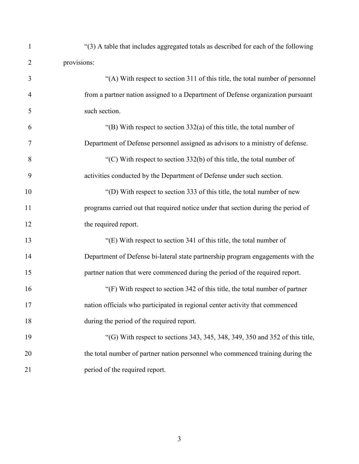| $\mathbf{1}$   | "(3) A table that includes aggregated totals as described for each of the following |
|----------------|-------------------------------------------------------------------------------------|
| $\overline{2}$ | provisions:                                                                         |
| 3              | "(A) With respect to section 311 of this title, the total number of personnel       |
| $\overline{4}$ | from a partner nation assigned to a Department of Defense organization pursuant     |
| 5              | such section.                                                                       |
| 6              | "(B) With respect to section $332(a)$ of this title, the total number of            |
| $\overline{7}$ | Department of Defense personnel assigned as advisors to a ministry of defense.      |
| 8              | "(C) With respect to section $332(b)$ of this title, the total number of            |
| 9              | activities conducted by the Department of Defense under such section.               |
| 10             | "(D) With respect to section 333 of this title, the total number of new             |
| 11             | programs carried out that required notice under that section during the period of   |
| 12             | the required report.                                                                |
| 13             | "(E) With respect to section 341 of this title, the total number of                 |
| 14             | Department of Defense bi-lateral state partnership program engagements with the     |
| 15             | partner nation that were commenced during the period of the required report.        |
| 16             | "(F) With respect to section 342 of this title, the total number of partner         |
| 17             | nation officials who participated in regional center activity that commenced        |
| 18             | during the period of the required report.                                           |
| 19             | "(G) With respect to sections 343, 345, 348, 349, 350 and 352 of this title,        |
| 20             | the total number of partner nation personnel who commenced training during the      |
| 21             | period of the required report.                                                      |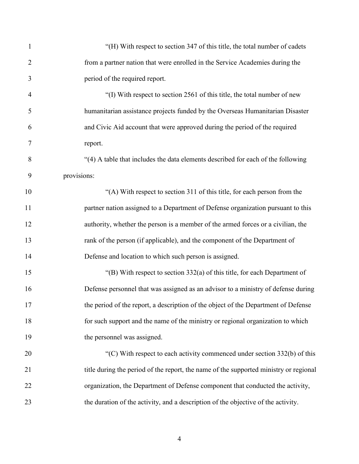| 1              | "(H) With respect to section 347 of this title, the total number of cadets            |
|----------------|---------------------------------------------------------------------------------------|
| $\overline{2}$ | from a partner nation that were enrolled in the Service Academies during the          |
| 3              | period of the required report.                                                        |
| $\overline{4}$ | "(I) With respect to section 2561 of this title, the total number of new              |
| 5              | humanitarian assistance projects funded by the Overseas Humanitarian Disaster         |
| 6              | and Civic Aid account that were approved during the period of the required            |
| 7              | report.                                                                               |
| 8              | "(4) A table that includes the data elements described for each of the following      |
| 9              | provisions:                                                                           |
| 10             | "(A) With respect to section 311 of this title, for each person from the              |
| 11             | partner nation assigned to a Department of Defense organization pursuant to this      |
| 12             | authority, whether the person is a member of the armed forces or a civilian, the      |
| 13             | rank of the person (if applicable), and the component of the Department of            |
| 14             | Defense and location to which such person is assigned.                                |
| 15             | "(B) With respect to section 332(a) of this title, for each Department of             |
| 16             | Defense personnel that was assigned as an advisor to a ministry of defense during     |
| 17             | the period of the report, a description of the object of the Department of Defense    |
| 18             | for such support and the name of the ministry or regional organization to which       |
| 19             | the personnel was assigned.                                                           |
| 20             | "(C) With respect to each activity commenced under section $332(b)$ of this           |
| 21             | title during the period of the report, the name of the supported ministry or regional |
| 22             | organization, the Department of Defense component that conducted the activity,        |
| 23             | the duration of the activity, and a description of the objective of the activity.     |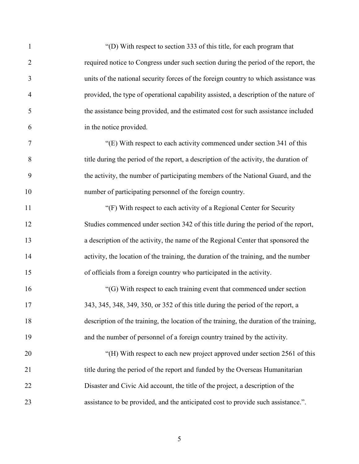| $\mathbf{1}$   | "(D) With respect to section 333 of this title, for each program that                    |
|----------------|------------------------------------------------------------------------------------------|
| $\overline{2}$ | required notice to Congress under such section during the period of the report, the      |
| 3              | units of the national security forces of the foreign country to which assistance was     |
| $\overline{4}$ | provided, the type of operational capability assisted, a description of the nature of    |
| 5              | the assistance being provided, and the estimated cost for such assistance included       |
| 6              | in the notice provided.                                                                  |
| 7              | "(E) With respect to each activity commenced under section 341 of this                   |
| 8              | title during the period of the report, a description of the activity, the duration of    |
| 9              | the activity, the number of participating members of the National Guard, and the         |
| 10             | number of participating personnel of the foreign country.                                |
| 11             | "(F) With respect to each activity of a Regional Center for Security                     |
| 12             | Studies commenced under section 342 of this title during the period of the report,       |
| 13             | a description of the activity, the name of the Regional Center that sponsored the        |
| 14             | activity, the location of the training, the duration of the training, and the number     |
| 15             | of officials from a foreign country who participated in the activity.                    |
| 16             | "(G) With respect to each training event that commenced under section                    |
| 17             | 343, 345, 348, 349, 350, or 352 of this title during the period of the report, a         |
| 18             | description of the training, the location of the training, the duration of the training, |
| 19             | and the number of personnel of a foreign country trained by the activity.                |
| 20             | "(H) With respect to each new project approved under section 2561 of this                |
| 21             | title during the period of the report and funded by the Overseas Humanitarian            |
| 22             | Disaster and Civic Aid account, the title of the project, a description of the           |
| 23             | assistance to be provided, and the anticipated cost to provide such assistance.".        |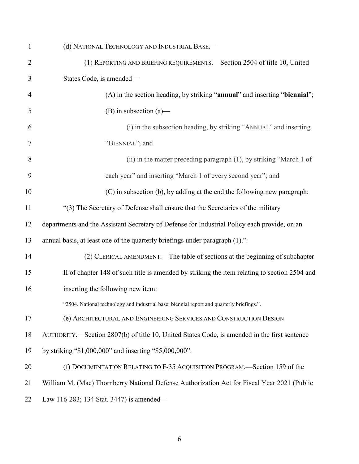| $\mathbf{1}$   | (d) NATIONAL TECHNOLOGY AND INDUSTRIAL BASE.-                                                |
|----------------|----------------------------------------------------------------------------------------------|
| $\overline{2}$ | (1) REPORTING AND BRIEFING REQUIREMENTS. Section 2504 of title 10, United                    |
| 3              | States Code, is amended-                                                                     |
| $\overline{4}$ | (A) in the section heading, by striking "annual" and inserting "biennial";                   |
| 5              | $(B)$ in subsection $(a)$ —                                                                  |
| 6              | (i) in the subsection heading, by striking "ANNUAL" and inserting                            |
| 7              | "BIENNIAL"; and                                                                              |
| 8              | (ii) in the matter preceding paragraph (1), by striking "March 1 of                          |
| 9              | each year" and inserting "March 1 of every second year"; and                                 |
| 10             | (C) in subsection (b), by adding at the end the following new paragraph:                     |
| 11             | "(3) The Secretary of Defense shall ensure that the Secretaries of the military              |
| 12             | departments and the Assistant Secretary of Defense for Industrial Policy each provide, on an |
| 13             | annual basis, at least one of the quarterly briefings under paragraph (1).".                 |
| 14             | (2) CLERICAL AMENDMENT.—The table of sections at the beginning of subchapter                 |
| 15             | II of chapter 148 of such title is amended by striking the item relating to section 2504 and |
| 16             | inserting the following new item:                                                            |
|                | "2504. National technology and industrial base: biennial report and quarterly briefings."    |
| 17             | (e) ARCHITECTURAL AND ENGINEERING SERVICES AND CONSTRUCTION DESIGN                           |
| 18             | AUTHORITY.—Section 2807(b) of title 10, United States Code, is amended in the first sentence |
| 19             | by striking "\$1,000,000" and inserting "\$5,000,000".                                       |
| 20             | (f) DOCUMENTATION RELATING TO F-35 ACQUISITION PROGRAM.—Section 159 of the                   |
| 21             | William M. (Mac) Thornberry National Defense Authorization Act for Fiscal Year 2021 (Public  |
| 22             | Law 116-283; 134 Stat. 3447) is amended—                                                     |
|                |                                                                                              |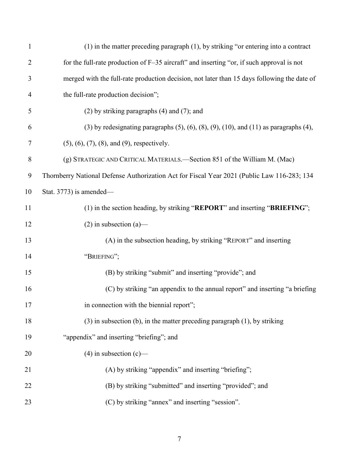| $\mathbf{1}$   | $(1)$ in the matter preceding paragraph $(1)$ , by striking "or entering into a contract                    |
|----------------|-------------------------------------------------------------------------------------------------------------|
| $\overline{2}$ | for the full-rate production of F-35 aircraft" and inserting "or, if such approval is not                   |
| 3              | merged with the full-rate production decision, not later than 15 days following the date of                 |
| 4              | the full-rate production decision";                                                                         |
| 5              | $(2)$ by striking paragraphs $(4)$ and $(7)$ ; and                                                          |
| 6              | $(3)$ by redesignating paragraphs $(5)$ , $(6)$ , $(8)$ , $(9)$ , $(10)$ , and $(11)$ as paragraphs $(4)$ , |
| 7              | $(5)$ , $(6)$ , $(7)$ , $(8)$ , and $(9)$ , respectively.                                                   |
| 8              | (g) STRATEGIC AND CRITICAL MATERIALS.—Section 851 of the William M. (Mac)                                   |
| 9              | Thornberry National Defense Authorization Act for Fiscal Year 2021 (Public Law 116-283; 134                 |
| 10             | Stat. $3773$ ) is amended—                                                                                  |
| 11             | (1) in the section heading, by striking "REPORT" and inserting "BRIEFING";                                  |
| 12             | $(2)$ in subsection $(a)$ —                                                                                 |
| 13             | (A) in the subsection heading, by striking "REPORT" and inserting                                           |
| 14             | "BRIEFING";                                                                                                 |
| 15             | (B) by striking "submit" and inserting "provide"; and                                                       |
| 16             | (C) by striking "an appendix to the annual report" and inserting "a briefing                                |
| 17             | in connection with the biennial report";                                                                    |
| 18             | $(3)$ in subsection (b), in the matter preceding paragraph $(1)$ , by striking                              |
| 19             | "appendix" and inserting "briefing"; and                                                                    |
| 20             | $(4)$ in subsection $(c)$ —                                                                                 |
| 21             | (A) by striking "appendix" and inserting "briefing";                                                        |
| 22             | (B) by striking "submitted" and inserting "provided"; and                                                   |
| 23             | (C) by striking "annex" and inserting "session".                                                            |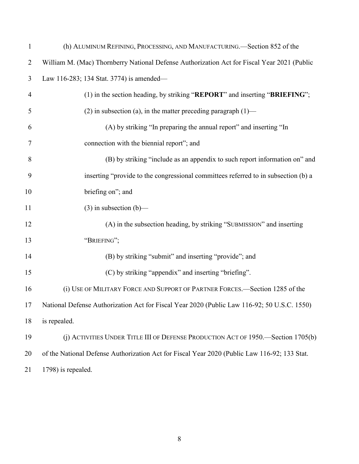| $\mathbf{1}$   | (h) ALUMINUM REFINING, PROCESSING, AND MANUFACTURING.—Section 852 of the                     |
|----------------|----------------------------------------------------------------------------------------------|
| $\overline{2}$ | William M. (Mac) Thornberry National Defense Authorization Act for Fiscal Year 2021 (Public  |
| 3              | Law 116-283; 134 Stat. 3774) is amended—                                                     |
| $\overline{4}$ | (1) in the section heading, by striking "REPORT" and inserting "BRIEFING";                   |
| 5              | (2) in subsection (a), in the matter preceding paragraph $(1)$ —                             |
| 6              | (A) by striking "In preparing the annual report" and inserting "In                           |
| $\overline{7}$ | connection with the biennial report"; and                                                    |
| 8              | (B) by striking "include as an appendix to such report information on" and                   |
| 9              | inserting "provide to the congressional committees referred to in subsection (b) a           |
| 10             | briefing on"; and                                                                            |
| 11             | $(3)$ in subsection $(b)$ —                                                                  |
| 12             | (A) in the subsection heading, by striking "SUBMISSION" and inserting                        |
| 13             | "BRIEFING";                                                                                  |
| 14             | (B) by striking "submit" and inserting "provide"; and                                        |
| 15             | (C) by striking "appendix" and inserting "briefing".                                         |
| 16             | (i) USE OF MILITARY FORCE AND SUPPORT OF PARTNER FORCES.—Section 1285 of the                 |
| 17             | National Defense Authorization Act for Fiscal Year 2020 (Public Law 116-92; 50 U.S.C. 1550)  |
| 18             | is repealed.                                                                                 |
| 19             | (j) ACTIVITIES UNDER TITLE III OF DEFENSE PRODUCTION ACT OF 1950.—Section 1705(b)            |
| 20             | of the National Defense Authorization Act for Fiscal Year 2020 (Public Law 116-92; 133 Stat. |
| 21             | 1798) is repealed.                                                                           |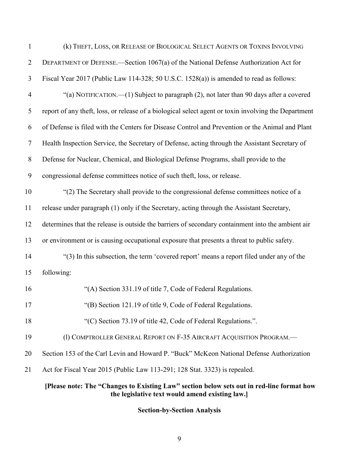|                | [Please note: The "Changes to Existing Law" section below sets out in red-line format how<br>the legislative text would amend existing law.] |
|----------------|----------------------------------------------------------------------------------------------------------------------------------------------|
| 21             | Act for Fiscal Year 2015 (Public Law 113-291; 128 Stat. 3323) is repealed.                                                                   |
| 20             | Section 153 of the Carl Levin and Howard P. "Buck" McKeon National Defense Authorization                                                     |
| 19             | (1) COMPTROLLER GENERAL REPORT ON F-35 AIRCRAFT ACQUISITION PROGRAM.-                                                                        |
| 18             | "(C) Section 73.19 of title 42, Code of Federal Regulations.".                                                                               |
| 17             | "(B) Section 121.19 of title 9, Code of Federal Regulations.                                                                                 |
| 16             | "(A) Section 331.19 of title 7, Code of Federal Regulations.                                                                                 |
| 15             | following:                                                                                                                                   |
| 14             | "(3) In this subsection, the term 'covered report' means a report filed under any of the                                                     |
| 13             | or environment or is causing occupational exposure that presents a threat to public safety.                                                  |
| 12             | determines that the release is outside the barriers of secondary containment into the ambient air                                            |
| 11             | release under paragraph (1) only if the Secretary, acting through the Assistant Secretary,                                                   |
| 10             | "(2) The Secretary shall provide to the congressional defense committees notice of a                                                         |
| 9              | congressional defense committees notice of such theft, loss, or release.                                                                     |
| $8\,$          | Defense for Nuclear, Chemical, and Biological Defense Programs, shall provide to the                                                         |
| $\tau$         | Health Inspection Service, the Secretary of Defense, acting through the Assistant Secretary of                                               |
| 6              | of Defense is filed with the Centers for Disease Control and Prevention or the Animal and Plant                                              |
| 5              | report of any theft, loss, or release of a biological select agent or toxin involving the Department                                         |
| $\overline{4}$ | "(a) NOTIFICATION.—(1) Subject to paragraph (2), not later than 90 days after a covered                                                      |
| 3              | Fiscal Year 2017 (Public Law 114-328; 50 U.S.C. 1528(a)) is amended to read as follows:                                                      |
| $\overline{2}$ | DEPARTMENT OF DEFENSE.—Section 1067(a) of the National Defense Authorization Act for                                                         |
| $\mathbf{1}$   | (k) THEFT, LOSS, OR RELEASE OF BIOLOGICAL SELECT AGENTS OR TOXINS INVOLVING                                                                  |

**Section-by-Section Analysis**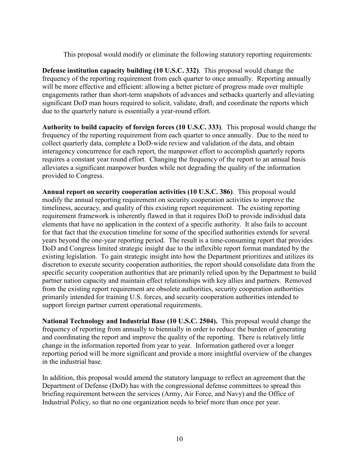This proposal would modify or eliminate the following statutory reporting requirements:

**Defense institution capacity building (10 U.S.C. 332)**. This proposal would change the frequency of the reporting requirement from each quarter to once annually. Reporting annually will be more effective and efficient: allowing a better picture of progress made over multiple engagements rather than short-term snapshots of advances and setbacks quarterly and alleviating significant DoD man hours required to solicit, validate, draft, and coordinate the reports which due to the quarterly nature is essentially a year-round effort.

**Authority to build capacity of foreign forces (10 U.S.C. 333)**. This proposal would change the frequency of the reporting requirement from each quarter to once annually. Due to the need to collect quarterly data, complete a DoD-wide review and validation of the data, and obtain interagency concurrence for each report, the manpower effort to accomplish quarterly reports requires a constant year round effort. Changing the frequency of the report to an annual basis alleviates a significant manpower burden while not degrading the quality of the information provided to Congress.

**Annual report on security cooperation activities (10 U.S.C. 386)**. This proposal would modify the annual reporting requirement on security cooperation activities to improve the timeliness, accuracy, and quality of this existing report requirement. The existing reporting requirement framework is inherently flawed in that it requires DoD to provide individual data elements that have no application in the context of a specific authority. It also fails to account for that fact that the execution timeline for some of the specified authorities extends for several years beyond the one-year reporting period. The result is a time-consuming report that provides DoD and Congress limited strategic insight due to the inflexible report format mandated by the existing legislation. To gain strategic insight into how the Department prioritizes and utilizes its discretion to execute security cooperation authorities, the report should consolidate data from the specific security cooperation authorities that are primarily relied upon by the Department to build partner nation capacity and maintain effect relationships with key allies and partners. Removed from the existing report requirement are obsolete authorities, security cooperation authorities primarily intended for training U.S. forces, and security cooperation authorities intended to support foreign partner current operational requirements.

**National Technology and Industrial Base (10 U.S.C. 2504).** This proposal would change the frequency of reporting from annually to biennially in order to reduce the burden of generating and coordinating the report and improve the quality of the reporting. There is relatively little change in the information reported from year to year. Information gathered over a longer reporting period will be more significant and provide a more insightful overview of the changes in the industrial base.

In addition, this proposal would amend the statutory language to reflect an agreement that the Department of Defense (DoD) has with the congressional defense committees to spread this briefing requirement between the services (Army, Air Force, and Navy) and the Office of Industrial Policy, so that no one organization needs to brief more than once per year.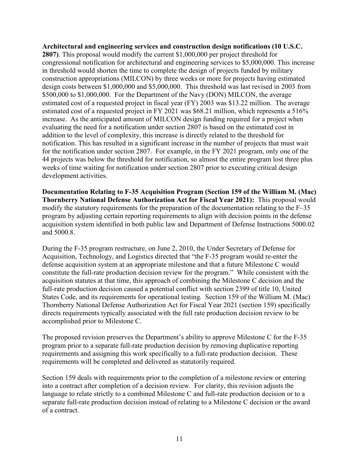# **Architectural and engineering services and construction design notifications (10 U.S.C.**

**2807)**. This proposal would modify the current \$1,000,000 per project threshold for congressional notification for architectural and engineering services to \$5,000,000. This increase in threshold would shorten the time to complete the design of projects funded by military construction appropriations (MILCON) by three weeks or more for projects having estimated design costs between \$1,000,000 and \$5,000,000. This threshold was last revised in 2003 from \$500,000 to \$1,000,000. For the Department of the Navy (DON) MILCON, the average estimated cost of a requested project in fiscal year (FY) 2003 was \$13.22 million. The average estimated cost of a requested project in FY 2021 was \$68.21 million, which represents a 516% increase. As the anticipated amount of MILCON design funding required for a project when evaluating the need for a notification under section 2807 is based on the estimated cost in addition to the level of complexity, this increase is directly related to the threshold for notification. This has resulted in a significant increase in the number of projects that must wait for the notification under section 2807. For example, in the FY 2021 program, only one of the 44 projects was below the threshold for notification, so almost the entire program lost three plus weeks of time waiting for notification under section 2807 prior to executing critical design development activities.

**Documentation Relating to F-35 Acquisition Program (Section 159 of the William M. (Mac) Thornberry National Defense Authorization Act for Fiscal Year 2021):** This proposal would modify the statutory requirements for the preparation of the documentation relating to the F–35 program by adjusting certain reporting requirements to align with decision points in the defense acquisition system identified in both public law and Department of Defense Instructions 5000.02 and 5000.8.

During the F-35 program restructure, on June 2, 2010, the Under Secretary of Defense for Acquisition, Technology, and Logistics directed that "the F-35 program would re-enter the defense acquisition system at an appropriate milestone and that a future Milestone C would constitute the full-rate production decision review for the program." While consistent with the acquisition statutes at that time, this approach of combining the Milestone C decision and the full-rate production decision caused a potential conflict with section 2399 of title 10, United States Code, and its requirements for operational testing. Section 159 of the William M. (Mac) Thornberry National Defense Authorization Act for Fiscal Year 2021 (section 159) specifically directs requirements typically associated with the full rate production decision review to be accomplished prior to Milestone C.

The proposed revision preserves the Department's ability to approve Milestone C for the F-35 program prior to a separate full-rate production decision by removing duplicative reporting requirements and assigning this work specifically to a full-rate production decision. These requirements will be completed and delivered as statutorily required.

Section 159 deals with requirements prior to the completion of a milestone review or entering into a contract after completion of a decision review. For clarity, this revision adjusts the language to relate strictly to a combined Milestone C and full-rate production decision or to a separate full-rate production decision instead of relating to a Milestone C decision or the award of a contract.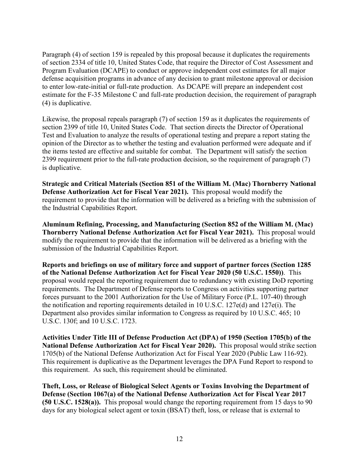Paragraph (4) of section 159 is repealed by this proposal because it duplicates the requirements of section 2334 of title 10, United States Code, that require the Director of Cost Assessment and Program Evaluation (DCAPE) to conduct or approve independent cost estimates for all major defense acquisition programs in advance of any decision to grant milestone approval or decision to enter low-rate-initial or full-rate production. As DCAPE will prepare an independent cost estimate for the F-35 Milestone C and full-rate production decision, the requirement of paragraph (4) is duplicative.

Likewise, the proposal repeals paragraph (7) of section 159 as it duplicates the requirements of section 2399 of title 10, United States Code. That section directs the Director of Operational Test and Evaluation to analyze the results of operational testing and prepare a report stating the opinion of the Director as to whether the testing and evaluation performed were adequate and if the items tested are effective and suitable for combat. The Department will satisfy the section 2399 requirement prior to the full-rate production decision, so the requirement of paragraph (7) is duplicative.

**Strategic and Critical Materials (Section 851 of the William M. (Mac) Thornberry National Defense Authorization Act for Fiscal Year 2021).** This proposal would modify the requirement to provide that the information will be delivered as a briefing with the submission of the Industrial Capabilities Report.

**Aluminum Refining, Processing, and Manufacturing (Section 852 of the William M. (Mac) Thornberry National Defense Authorization Act for Fiscal Year 2021).** This proposal would modify the requirement to provide that the information will be delivered as a briefing with the submission of the Industrial Capabilities Report.

**Reports and briefings on use of military force and support of partner forces (Section 1285 of the National Defense Authorization Act for Fiscal Year 2020 (50 U.S.C. 1550))**. This proposal would repeal the reporting requirement due to redundancy with existing DoD reporting requirements. The Department of Defense reports to Congress on activities supporting partner forces pursuant to the 2001 Authorization for the Use of Military Force (P.L. 107-40) through the notification and reporting requirements detailed in 10 U.S.C. 127e(d) and 127e(i). The Department also provides similar information to Congress as required by 10 U.S.C. 465; 10 U.S.C. 130f; and 10 U.S.C. 1723.

**Activities Under Title III of Defense Production Act (DPA) of 1950 (Section 1705(b) of the National Defense Authorization Act for Fiscal Year 2020).** This proposal would strike section 1705(b) of the National Defense Authorization Act for Fiscal Year 2020 (Public Law 116-92). This requirement is duplicative as the Department leverages the DPA Fund Report to respond to this requirement. As such, this requirement should be eliminated.

**Theft, Loss, or Release of Biological Select Agents or Toxins Involving the Department of Defense (Section 1067(a) of the National Defense Authorization Act for Fiscal Year 2017 (50 U.S.C. 1528(a)).** This proposal would change the reporting requirement from 15 days to 90 days for any biological select agent or toxin (BSAT) theft, loss, or release that is external to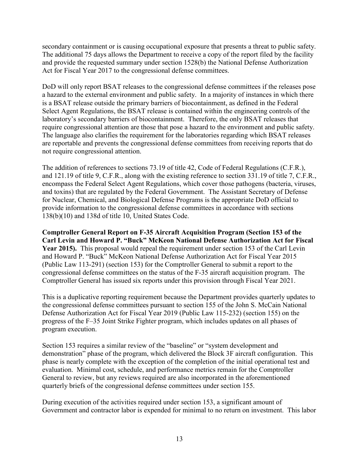secondary containment or is causing occupational exposure that presents a threat to public safety. The additional 75 days allows the Department to receive a copy of the report filed by the facility and provide the requested summary under section 1528(b) the National Defense Authorization Act for Fiscal Year 2017 to the congressional defense committees.

DoD will only report BSAT releases to the congressional defense committees if the releases pose a hazard to the external environment and public safety. In a majority of instances in which there is a BSAT release outside the primary barriers of biocontainment, as defined in the Federal Select Agent Regulations, the BSAT release is contained within the engineering controls of the laboratory's secondary barriers of biocontainment. Therefore, the only BSAT releases that require congressional attention are those that pose a hazard to the environment and public safety. The language also clarifies the requirement for the laboratories regarding which BSAT releases are reportable and prevents the congressional defense committees from receiving reports that do not require congressional attention.

The addition of references to sections 73.19 of title 42, Code of Federal Regulations (C.F.R.), and 121.19 of title 9, C.F.R., along with the existing reference to section 331.19 of title 7, C.F.R., encompass the Federal Select Agent Regulations, which cover those pathogens (bacteria, viruses, and toxins) that are regulated by the Federal Government. The Assistant Secretary of Defense for Nuclear, Chemical, and Biological Defense Programs is the appropriate DoD official to provide information to the congressional defense committees in accordance with sections 138(b)(10) and 138d of title 10, United States Code.

**Comptroller General Report on F-35 Aircraft Acquisition Program (Section 153 of the Carl Levin and Howard P. "Buck" McKeon National Defense Authorization Act for Fiscal Year 2015).** This proposal would repeal the requirement under section 153 of the Carl Levin and Howard P. "Buck" McKeon National Defense Authorization Act for Fiscal Year 2015 (Public Law 113-291) (section 153) for the Comptroller General to submit a report to the congressional defense committees on the status of the F-35 aircraft acquisition program. The Comptroller General has issued six reports under this provision through Fiscal Year 2021.

This is a duplicative reporting requirement because the Department provides quarterly updates to the congressional defense committees pursuant to section 155 of the John S. McCain National Defense Authorization Act for Fiscal Year 2019 (Public Law 115-232) (section 155) on the progress of the F–35 Joint Strike Fighter program, which includes updates on all phases of program execution.

Section 153 requires a similar review of the "baseline" or "system development and demonstration" phase of the program, which delivered the Block 3F aircraft configuration. This phase is nearly complete with the exception of the completion of the initial operational test and evaluation. Minimal cost, schedule, and performance metrics remain for the Comptroller General to review, but any reviews required are also incorporated in the aforementioned quarterly briefs of the congressional defense committees under section 155.

During execution of the activities required under section 153, a significant amount of Government and contractor labor is expended for minimal to no return on investment. This labor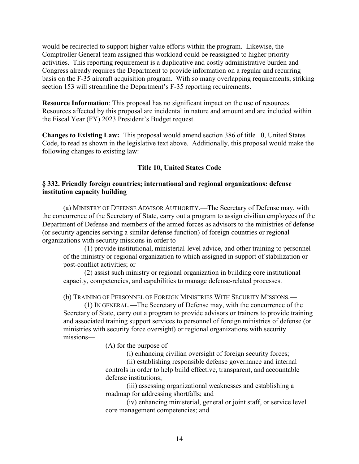would be redirected to support higher value efforts within the program. Likewise, the Comptroller General team assigned this workload could be reassigned to higher priority activities. This reporting requirement is a duplicative and costly administrative burden and Congress already requires the Department to provide information on a regular and recurring basis on the F-35 aircraft acquisition program. With so many overlapping requirements, striking section 153 will streamline the Department's F-35 reporting requirements.

**Resource Information**: This proposal has no significant impact on the use of resources. Resources affected by this proposal are incidental in nature and amount and are included within the Fiscal Year (FY) 2023 President's Budget request.

**Changes to Existing Law:** This proposal would amend section 386 of title 10, United States Code, to read as shown in the legislative text above. Additionally, this proposal would make the following changes to existing law:

# **Title 10, United States Code**

# **§ 332. Friendly foreign countries; international and regional organizations: defense institution capacity building**

(a) MINISTRY OF DEFENSE ADVISOR AUTHORITY.—The Secretary of Defense may, with the concurrence of the Secretary of State, carry out a program to assign civilian employees of the Department of Defense and members of the armed forces as advisors to the ministries of defense (or security agencies serving a similar defense function) of foreign countries or regional organizations with security missions in order to—

(1) provide institutional, ministerial-level advice, and other training to personnel of the ministry or regional organization to which assigned in support of stabilization or post-conflict activities; or

(2) assist such ministry or regional organization in building core institutional capacity, competencies, and capabilities to manage defense-related processes.

(b) TRAINING OF PERSONNEL OF FOREIGN MINISTRIES WITH SECURITY MISSIONS.—

(1) IN GENERAL.—The Secretary of Defense may, with the concurrence of the Secretary of State, carry out a program to provide advisors or trainers to provide training and associated training support services to personnel of foreign ministries of defense (or ministries with security force oversight) or regional organizations with security missions—

(A) for the purpose of—

(i) enhancing civilian oversight of foreign security forces;

(ii) establishing responsible defense governance and internal controls in order to help build effective, transparent, and accountable defense institutions;

(iii) assessing organizational weaknesses and establishing a roadmap for addressing shortfalls; and

(iv) enhancing ministerial, general or joint staff, or service level core management competencies; and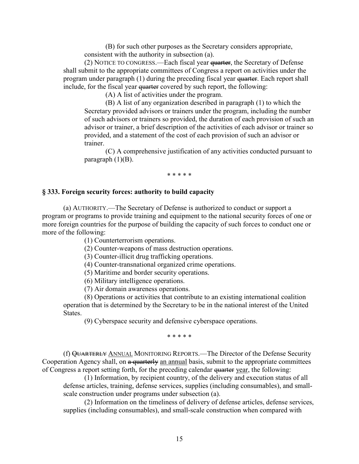(B) for such other purposes as the Secretary considers appropriate, consistent with the authority in subsection (a).

(2) NOTICE TO CONGRESS.—Each fiscal year quarter, the Secretary of Defense shall submit to the appropriate committees of Congress a report on activities under the program under paragraph (1) during the preceding fiscal year quarter. Each report shall include, for the fiscal year quarter covered by such report, the following:

(A) A list of activities under the program.

(B) A list of any organization described in paragraph (1) to which the Secretary provided advisors or trainers under the program, including the number of such advisors or trainers so provided, the duration of each provision of such an advisor or trainer, a brief description of the activities of each advisor or trainer so provided, and a statement of the cost of each provision of such an advisor or trainer.

(C) A comprehensive justification of any activities conducted pursuant to paragraph  $(1)(B)$ .

\* \* \* \* \*

#### **§ 333. Foreign security forces: authority to build capacity**

(a) AUTHORITY.—The Secretary of Defense is authorized to conduct or support a program or programs to provide training and equipment to the national security forces of one or more foreign countries for the purpose of building the capacity of such forces to conduct one or more of the following:

(1) Counterterrorism operations.

(2) Counter-weapons of mass destruction operations.

(3) Counter-illicit drug trafficking operations.

(4) Counter-transnational organized crime operations.

(5) Maritime and border security operations.

(6) Military intelligence operations.

(7) Air domain awareness operations.

(8) Operations or activities that contribute to an existing international coalition operation that is determined by the Secretary to be in the national interest of the United States.

(9) Cyberspace security and defensive cyberspace operations.

\* \* \* \* \*

(f) QUARTERLY ANNUAL MONITORING REPORTS.—The Director of the Defense Security Cooperation Agency shall, on a quarterly an annual basis, submit to the appropriate committees of Congress a report setting forth, for the preceding calendar quarter year, the following:

(1) Information, by recipient country, of the delivery and execution status of all defense articles, training, defense services, supplies (including consumables), and smallscale construction under programs under subsection (a).

(2) Information on the timeliness of delivery of defense articles, defense services, supplies (including consumables), and small-scale construction when compared with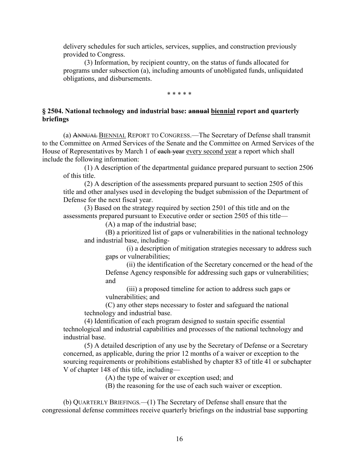delivery schedules for such articles, services, supplies, and construction previously provided to Congress.

(3) Information, by recipient country, on the status of funds allocated for programs under subsection (a), including amounts of unobligated funds, unliquidated obligations, and disbursements.

\* \* \* \* \*

# **§ 2504. National technology and industrial base: annual biennial report and quarterly briefings**

(a) ANNUAL BIENNIAL REPORT TO CONGRESS.—The Secretary of Defense shall transmit to the Committee on Armed Services of the Senate and the Committee on Armed Services of the House of Representatives by March 1 of each year every second year a report which shall include the following information:

(1) A description of the departmental guidance prepared pursuant to section 2506 of this title.

(2) A description of the assessments prepared pursuant to section 2505 of this title and other analyses used in developing the budget submission of the Department of Defense for the next fiscal year.

(3) Based on the strategy required by section 2501 of this title and on the assessments prepared pursuant to Executive order or section 2505 of this title—

(A) a map of the industrial base;

(B) a prioritized list of gaps or vulnerabilities in the national technology and industrial base, including-

(i) a description of mitigation strategies necessary to address such gaps or vulnerabilities;

(ii) the identification of the Secretary concerned or the head of the Defense Agency responsible for addressing such gaps or vulnerabilities; and

(iii) a proposed timeline for action to address such gaps or vulnerabilities; and

(C) any other steps necessary to foster and safeguard the national technology and industrial base.

(4) Identification of each program designed to sustain specific essential technological and industrial capabilities and processes of the national technology and industrial base.

(5) A detailed description of any use by the Secretary of Defense or a Secretary concerned, as applicable, during the prior 12 months of a waiver or exception to the sourcing requirements or prohibitions established by chapter 83 of title 41 or subchapter V of chapter 148 of this title, including—

(A) the type of waiver or exception used; and

(B) the reasoning for the use of each such waiver or exception.

(b) QUARTERLY BRIEFINGS*.—*(1) The Secretary of Defense shall ensure that the congressional defense committees receive quarterly briefings on the industrial base supporting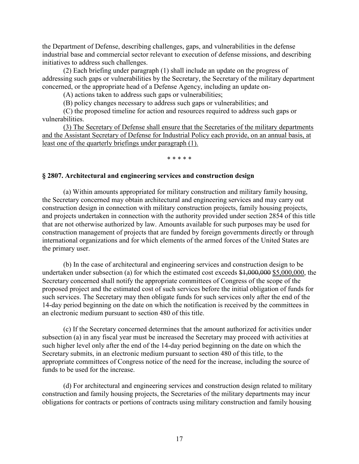the Department of Defense, describing challenges, gaps, and vulnerabilities in the defense industrial base and commercial sector relevant to execution of defense missions, and describing initiatives to address such challenges.

(2) Each briefing under paragraph (1) shall include an update on the progress of addressing such gaps or vulnerabilities by the Secretary, the Secretary of the military department concerned, or the appropriate head of a Defense Agency, including an update on-

(A) actions taken to address such gaps or vulnerabilities;

(B) policy changes necessary to address such gaps or vulnerabilities; and

(C) the proposed timeline for action and resources required to address such gaps or vulnerabilities.

(3) The Secretary of Defense shall ensure that the Secretaries of the military departments and the Assistant Secretary of Defense for Industrial Policy each provide, on an annual basis, at least one of the quarterly briefings under paragraph (1).

#### \* \* \* \* \*

#### **§ 2807. Architectural and engineering services and construction design**

(a) Within amounts appropriated for military construction and military family housing, the Secretary concerned may obtain architectural and engineering services and may carry out construction design in connection with military construction projects, family housing projects, and projects undertaken in connection with the authority provided under section 2854 of this title that are not otherwise authorized by law. Amounts available for such purposes may be used for construction management of projects that are funded by foreign governments directly or through international organizations and for which elements of the armed forces of the United States are the primary user.

(b) In the case of architectural and engineering services and construction design to be undertaken under subsection (a) for which the estimated cost exceeds  $$1,000,000 $5,000,000$ , the Secretary concerned shall notify the appropriate committees of Congress of the scope of the proposed project and the estimated cost of such services before the initial obligation of funds for such services. The Secretary may then obligate funds for such services only after the end of the 14-day period beginning on the date on which the notification is received by the committees in an electronic medium pursuant to section 480 of this title.

(c) If the Secretary concerned determines that the amount authorized for activities under subsection (a) in any fiscal year must be increased the Secretary may proceed with activities at such higher level only after the end of the 14-day period beginning on the date on which the Secretary submits, in an electronic medium pursuant to section 480 of this title, to the appropriate committees of Congress notice of the need for the increase, including the source of funds to be used for the increase.

(d) For architectural and engineering services and construction design related to military construction and family housing projects, the Secretaries of the military departments may incur obligations for contracts or portions of contracts using military construction and family housing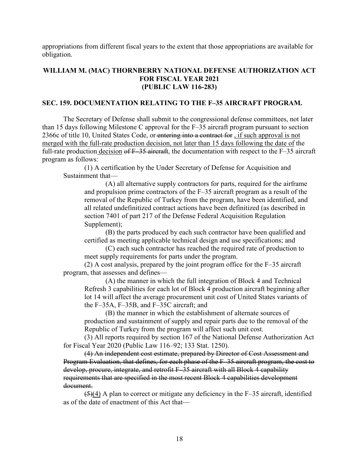appropriations from different fiscal years to the extent that those appropriations are available for obligation.

# **WILLIAM M. (MAC) THORNBERRY NATIONAL DEFENSE AUTHORIZATION ACT FOR FISCAL YEAR 2021 (PUBLIC LAW 116-283)**

# **SEC. 159. DOCUMENTATION RELATING TO THE F–35 AIRCRAFT PROGRAM.**

The Secretary of Defense shall submit to the congressional defense committees, not later than 15 days following Milestone C approval for the F–35 aircraft program pursuant to section 2366c of title 10, United States Code, or entering into a contract for , if such approval is not merged with the full-rate production decision, not later than 15 days following the date of the full-rate production decision of  $F-35$  aircraft, the documentation with respect to the  $F-35$  aircraft program as follows:

(1) A certification by the Under Secretary of Defense for Acquisition and Sustainment that—

(A) all alternative supply contractors for parts, required for the airframe and propulsion prime contractors of the F–35 aircraft program as a result of the removal of the Republic of Turkey from the program, have been identified, and all related undefinitized contract actions have been definitized (as described in section 7401 of part 217 of the Defense Federal Acquisition Regulation Supplement);

(B) the parts produced by each such contractor have been qualified and certified as meeting applicable technical design and use specifications; and

(C) each such contractor has reached the required rate of production to meet supply requirements for parts under the program.

(2) A cost analysis, prepared by the joint program office for the F–35 aircraft program, that assesses and defines—

(A) the manner in which the full integration of Block 4 and Technical Refresh 3 capabilities for each lot of Block 4 production aircraft beginning after lot 14 will affect the average procurement unit cost of United States variants of the F–35A, F–35B, and F–35C aircraft; and

(B) the manner in which the establishment of alternate sources of production and sustainment of supply and repair parts due to the removal of the Republic of Turkey from the program will affect such unit cost.

(3) All reports required by section 167 of the National Defense Authorization Act for Fiscal Year 2020 (Public Law 116–92; 133 Stat. 1250).

(4) An independent cost estimate, prepared by Director of Cost Assessment and Program Evaluation, that defines, for each phase of the F–35 aircraft program, the cost to develop, procure, integrate, and retrofit F–35 aircraft with all Block 4 capability requirements that are specified in the most recent Block 4 capabilities development document.

 $(5)(4)$  A plan to correct or mitigate any deficiency in the F-35 aircraft, identified as of the date of enactment of this Act that—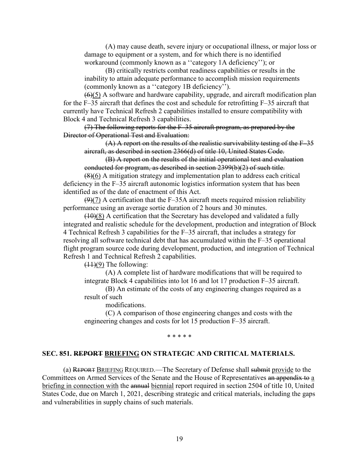(A) may cause death, severe injury or occupational illness, or major loss or damage to equipment or a system, and for which there is no identified workaround (commonly known as a ''category 1A deficiency''); or

(B) critically restricts combat readiness capabilities or results in the inability to attain adequate performance to accomplish mission requirements (commonly known as a ''category 1B deficiency'').

 $(6)(5)$  A software and hardware capability, upgrade, and aircraft modification plan for the F–35 aircraft that defines the cost and schedule for retrofitting F–35 aircraft that currently have Technical Refresh 2 capabilities installed to ensure compatibility with Block 4 and Technical Refresh 3 capabilities.

(7) The following reports for the F–35 aircraft program, as prepared by the Director of Operational Test and Evaluation:

 $(A)$  A report on the results of the realistic survivability testing of the  $F-35$ aircraft, as described in section 2366(d) of title 10, United States Code.

(B) A report on the results of the initial operational test and evaluation conducted for program, as described in section 2399(b)(2) of such title.

(8)(6) A mitigation strategy and implementation plan to address each critical deficiency in the F–35 aircraft autonomic logistics information system that has been identified as of the date of enactment of this Act.

 $(9)(7)$  A certification that the F-35A aircraft meets required mission reliability performance using an average sortie duration of 2 hours and 30 minutes.

 $(10)(8)$  A certification that the Secretary has developed and validated a fully integrated and realistic schedule for the development, production and integration of Block 4 Technical Refresh 3 capabilities for the F–35 aircraft, that includes a strategy for resolving all software technical debt that has accumulated within the F–35 operational flight program source code during development, production, and integration of Technical Refresh 1 and Technical Refresh 2 capabilities.

 $(11)(9)$  The following:

(A) A complete list of hardware modifications that will be required to integrate Block 4 capabilities into lot 16 and lot 17 production F–35 aircraft.

(B) An estimate of the costs of any engineering changes required as a result of such

modifications.

(C) A comparison of those engineering changes and costs with the engineering changes and costs for lot 15 production F–35 aircraft.

\* \* \* \* \*

#### **SEC. 851. REPORT BRIEFING ON STRATEGIC AND CRITICAL MATERIALS.**

(a) REPORT BRIEFING REQUIRED.—The Secretary of Defense shall submit provide to the Committees on Armed Services of the Senate and the House of Representatives an appendix to a briefing in connection with the annual biennial report required in section 2504 of title 10, United States Code, due on March 1, 2021, describing strategic and critical materials, including the gaps and vulnerabilities in supply chains of such materials.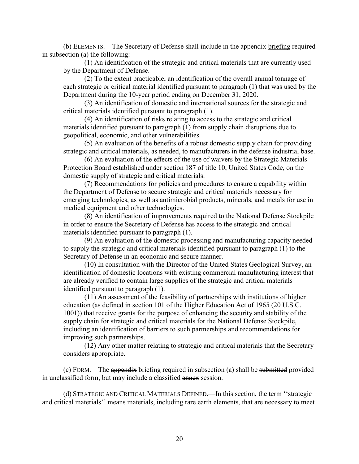(b) ELEMENTS.—The Secretary of Defense shall include in the appendix briefing required in subsection (a) the following:

(1) An identification of the strategic and critical materials that are currently used by the Department of Defense.

(2) To the extent practicable, an identification of the overall annual tonnage of each strategic or critical material identified pursuant to paragraph (1) that was used by the Department during the 10-year period ending on December 31, 2020.

(3) An identification of domestic and international sources for the strategic and critical materials identified pursuant to paragraph (1).

(4) An identification of risks relating to access to the strategic and critical materials identified pursuant to paragraph (1) from supply chain disruptions due to geopolitical, economic, and other vulnerabilities.

(5) An evaluation of the benefits of a robust domestic supply chain for providing strategic and critical materials, as needed, to manufacturers in the defense industrial base.

(6) An evaluation of the effects of the use of waivers by the Strategic Materials Protection Board established under section 187 of title 10, United States Code, on the domestic supply of strategic and critical materials.

(7) Recommendations for policies and procedures to ensure a capability within the Department of Defense to secure strategic and critical materials necessary for emerging technologies, as well as antimicrobial products, minerals, and metals for use in medical equipment and other technologies.

(8) An identification of improvements required to the National Defense Stockpile in order to ensure the Secretary of Defense has access to the strategic and critical materials identified pursuant to paragraph (1).

(9) An evaluation of the domestic processing and manufacturing capacity needed to supply the strategic and critical materials identified pursuant to paragraph (1) to the Secretary of Defense in an economic and secure manner.

(10) In consultation with the Director of the United States Geological Survey, an identification of domestic locations with existing commercial manufacturing interest that are already verified to contain large supplies of the strategic and critical materials identified pursuant to paragraph (1).

(11) An assessment of the feasibility of partnerships with institutions of higher education (as defined in section 101 of the Higher Education Act of 1965 (20 U.S.C. 1001)) that receive grants for the purpose of enhancing the security and stability of the supply chain for strategic and critical materials for the National Defense Stockpile, including an identification of barriers to such partnerships and recommendations for improving such partnerships.

(12) Any other matter relating to strategic and critical materials that the Secretary considers appropriate.

(c) FORM.—The appendix briefing required in subsection (a) shall be submitted provided in unclassified form, but may include a classified annex session.

(d) STRATEGIC AND CRITICAL MATERIALS DEFINED.—In this section, the term ''strategic and critical materials'' means materials, including rare earth elements, that are necessary to meet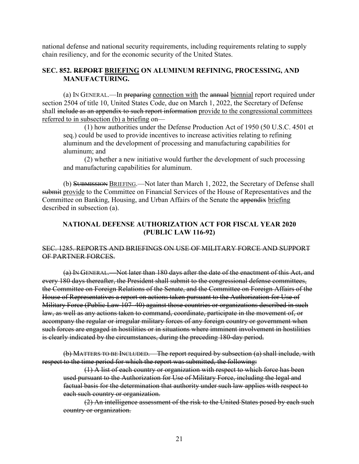national defense and national security requirements, including requirements relating to supply chain resiliency, and for the economic security of the United States.

## **SEC. 852. REPORT BRIEFING ON ALUMINUM REFINING, PROCESSING, AND MANUFACTURING.**

(a) IN GENERAL.—In preparing connection with the annual biennial report required under section 2504 of title 10, United States Code, due on March 1, 2022, the Secretary of Defense shall include as an appendix to such report information provide to the congressional committees referred to in subsection (b) a briefing on—

(1) how authorities under the Defense Production Act of 1950 (50 U.S.C. 4501 et seq.) could be used to provide incentives to increase activities relating to refining aluminum and the development of processing and manufacturing capabilities for aluminum; and

(2) whether a new initiative would further the development of such processing and manufacturing capabilities for aluminum.

(b) SUBMISSION BRIEFING.—Not later than March 1, 2022, the Secretary of Defense shall submit provide to the Committee on Financial Services of the House of Representatives and the Committee on Banking, Housing, and Urban Affairs of the Senate the appendix briefing described in subsection (a).

# **NATIONAL DEFENSE AUTHORIZATION ACT FOR FISCAL YEAR 2020 (PUBLIC LAW 116-92)**

## SEC. 1285. REPORTS AND BRIEFINGS ON USE OF MILITARY FORCE AND SUPPORT OF PARTNER FORCES.

(a) IN GENERAL.—Not later than 180 days after the date of the enactment of this Act, and every 180 days thereafter, the President shall submit to the congressional defense committees, the Committee on Foreign Relations of the Senate, and the Committee on Foreign Affairs of the House of Representatives a report on actions taken pursuant to the Authorization for Use of Military Force (Public Law 107–40) against those countries or organizations described in such law, as well as any actions taken to command, coordinate, participate in the movement of, or accompany the regular or irregular military forces of any foreign country or government when such forces are engaged in hostilities or in situations where imminent involvement in hostilities is clearly indicated by the circumstances, during the preceding 180-day period.

(b) MATTERS TO BE INCLUDED.—The report required by subsection (a) shall include, with respect to the time period for which the report was submitted, the following:

(1) A list of each country or organization with respect to which force has been used pursuant to the Authorization for Use of Military Force, including the legal and factual basis for the determination that authority under such law applies with respect to each such country or organization.

(2) An intelligence assessment of the risk to the United States posed by each such country or organization.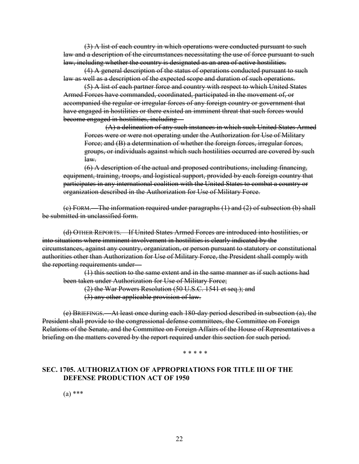(3) A list of each country in which operations were conducted pursuant to such law and a description of the circumstances necessitating the use of force pursuant to such law, including whether the country is designated as an area of active hostilities.

(4) A general description of the status of operations conducted pursuant to such law as well as a description of the expected scope and duration of such operations.

(5) A list of each partner force and country with respect to which United States Armed Forces have commanded, coordinated, participated in the movement of, or accompanied the regular or irregular forces of any foreign country or government that have engaged in hostilities or there existed an imminent threat that such forces would become engaged in hostilities, including—

(A) a delineation of any such instances in which such United States Armed Forces were or were not operating under the Authorization for Use of Military Force; and (B) a determination of whether the foreign forces, irregular forces, groups, or individuals against which such hostilities occurred are covered by such law.

(6) A description of the actual and proposed contributions, including financing, equipment, training, troops, and logistical support, provided by each foreign country that participates in any international coalition with the United States to combat a country or organization described in the Authorization for Use of Military Force.

(c) FORM.—The information required under paragraphs (1) and (2) of subsection (b) shall be submitted in unclassified form.

(d) OTHER REPORTS.—If United States Armed Forces are introduced into hostilities, or into situations where imminent involvement in hostilities is clearly indicated by the circumstances, against any country, organization, or person pursuant to statutory or constitutional authorities other than Authorization for Use of Military Force, the President shall comply with the reporting requirements under-

(1) this section to the same extent and in the same manner as if such actions had been taken under Authorization for Use of Military Force;

(2) the War Powers Resolution (50 U.S.C. 1541 et seq.); and

(3) any other applicable provision of law.

(e) BRIEFINGS.—At least once during each 180-day period described in subsection (a), the President shall provide to the congressional defense committees, the Committee on Foreign Relations of the Senate, and the Committee on Foreign Affairs of the House of Representatives a briefing on the matters covered by the report required under this section for such period.

#### \* \* \* \* \*

# **SEC. 1705. AUTHORIZATION OF APPROPRIATIONS FOR TITLE III OF THE DEFENSE PRODUCTION ACT OF 1950**

(a) \*\*\*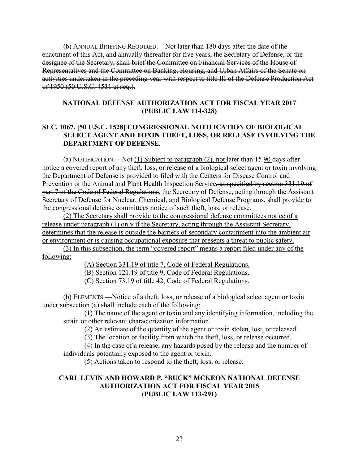(b) ANNUAL BRIEFING REQUIRED.—Not later than 180 days after the date of the enactment of this Act, and annually thereafter for five years, the Secretary of Defense, or the designee of the Secretary, shall brief the Committee on Financial Services of the House of Representatives and the Committee on Banking, Housing, and Urban Affairs of the Senate on activities undertaken in the preceding year with respect to title III of the Defense Production Act of 1950 (50 U.S.C. 4531 et seq.).

# **NATIONAL DEFENSE AUTHORIZATION ACT FOR FISCAL YEAR 2017 (PUBLIC LAW 114-328)**

# **SEC. 1067. [50 U.S.C. 1528] CONGRESSIONAL NOTIFICATION OF BIOLOGICAL SELECT AGENT AND TOXIN THEFT, LOSS, OR RELEASE INVOLVING THE DEPARTMENT OF DEFENSE.**

(a) NOTIFICATION.—Not (1) Subject to paragraph (2), not later than  $\pm$  5.90 days after notice a covered report of any theft, loss, or release of a biological select agent or toxin involving the Department of Defense is provided to filed with the Centers for Disease Control and Prevention or the Animal and Plant Health Inspection Service, as specified by section 331.19 of part 7 of the Code of Federal Regulations, the Secretary of Defense, acting through the Assistant Secretary of Defense for Nuclear, Chemical, and Biological Defense Programs, shall provide to the congressional defense committees notice of such theft, loss, or release.

(2) The Secretary shall provide to the congressional defense committees notice of a release under paragraph (1) only if the Secretary, acting through the Assistant Secretary, determines that the release is outside the barriers of secondary containment into the ambient air or environment or is causing occupational exposure that presents a threat to public safety.

(3) In this subsection, the term "covered report" means a report filed under any of the following:

(A) Section 331.19 of title 7, Code of Federal Regulations.

(B) Section 121.19 of title 9, Code of Federal Regulations.

(C) Section 73.19 of title 42, Code of Federal Regulations.

(b) ELEMENTS.—Notice of a theft, loss, or release of a biological select agent or toxin under subsection (a) shall include each of the following:

(1) The name of the agent or toxin and any identifying information, including the strain or other relevant characterization information.

(2) An estimate of the quantity of the agent or toxin stolen, lost, or released.

(3) The location or facility from which the theft, loss, or release occurred.

(4) In the case of a release, any hazards posed by the release and the number of individuals potentially exposed to the agent or toxin.

(5) Actions taken to respond to the theft, loss, or release.

# **CARL LEVIN AND HOWARD P. "BUCK" MCKEON NATIONAL DEFENSE AUTHORIZATION ACT FOR FISCAL YEAR 2015 (PUBLIC LAW 113-291)**